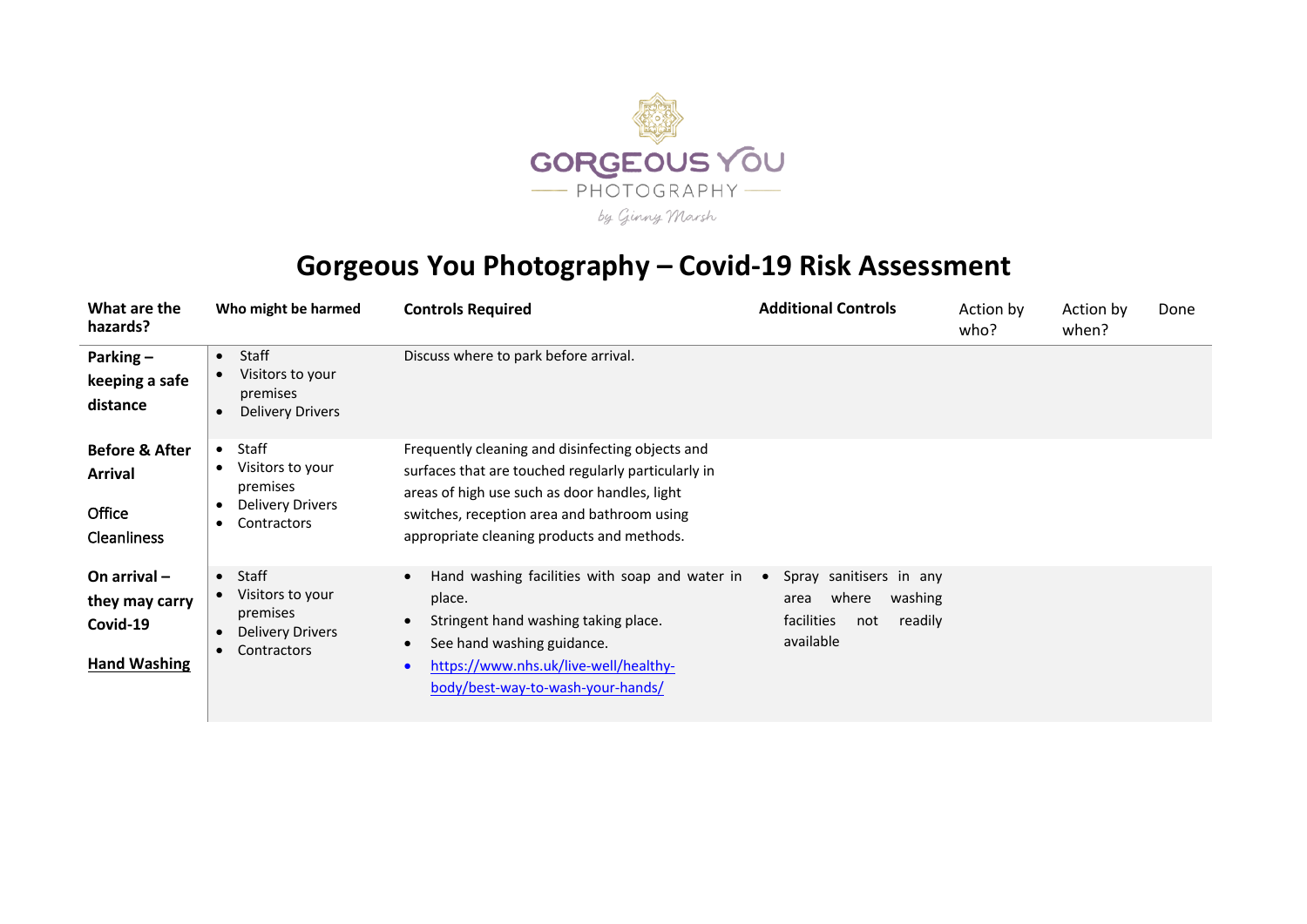

## **Gorgeous You Photography – Covid-19 Risk Assessment**

| What are the<br>hazards?                                                    | Who might be harmed                                                                                                    | <b>Controls Required</b>                                                                                                                                                                                                                              | <b>Additional Controls</b>                                                                                    | Action by<br>who? | Action by<br>when? | Done |
|-----------------------------------------------------------------------------|------------------------------------------------------------------------------------------------------------------------|-------------------------------------------------------------------------------------------------------------------------------------------------------------------------------------------------------------------------------------------------------|---------------------------------------------------------------------------------------------------------------|-------------------|--------------------|------|
| Parking $-$<br>keeping a safe<br>distance                                   | Staff<br>$\bullet$<br>Visitors to your<br>premises<br><b>Delivery Drivers</b>                                          | Discuss where to park before arrival.                                                                                                                                                                                                                 |                                                                                                               |                   |                    |      |
| <b>Before &amp; After</b><br><b>Arrival</b><br>Office<br><b>Cleanliness</b> | Staff<br>$\bullet$<br>Visitors to your<br>$\bullet$<br>premises<br>Delivery Drivers<br>Contractors<br>٠                | Frequently cleaning and disinfecting objects and<br>surfaces that are touched regularly particularly in<br>areas of high use such as door handles, light<br>switches, reception area and bathroom using<br>appropriate cleaning products and methods. |                                                                                                               |                   |                    |      |
| On arrival $-$<br>they may carry<br>Covid-19<br><b>Hand Washing</b>         | Staff<br>$\bullet$<br>Visitors to your<br>$\bullet$<br>premises<br><b>Delivery Drivers</b><br>Contractors<br>$\bullet$ | Hand washing facilities with soap and water in<br>$\bullet$<br>place.<br>Stringent hand washing taking place.<br>See hand washing guidance.<br>$\bullet$<br>https://www.nhs.uk/live-well/healthy-<br>$\bullet$<br>body/best-way-to-wash-your-hands/   | Spray sanitisers in any<br>$\bullet$<br>where<br>washing<br>area<br>facilities<br>readily<br>not<br>available |                   |                    |      |